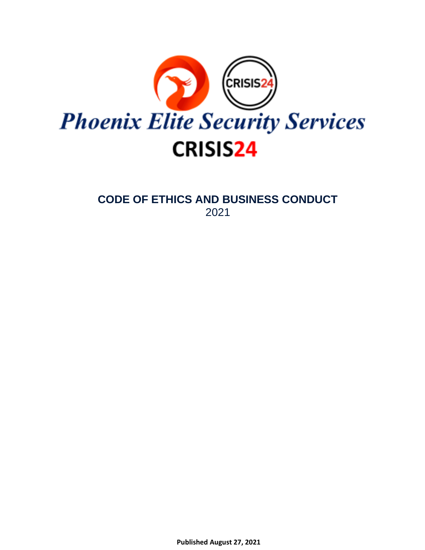

**CODE OF ETHICS AND BUSINESS CONDUCT** 2021

**Published August 27, 2021**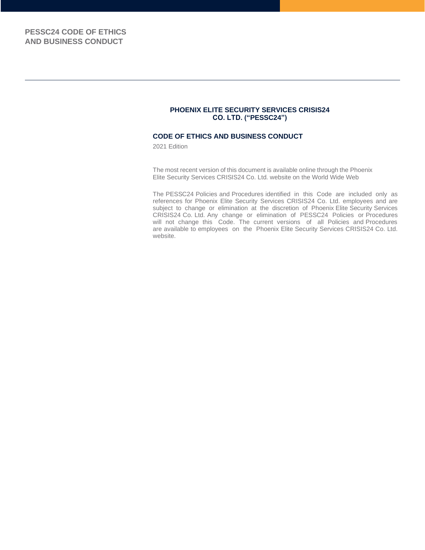#### **PHOENIX ELITE SECURITY SERVICES CRISIS24 CO. LTD. ("PESSC24")**

#### **CODE OF ETHICS AND BUSINESS CONDUCT**

2021 Edition

The most recent version of this document is available online through the Phoenix Elite Security Services CRISIS24 Co. Ltd. website on the World Wide Web

The PESSC24 Policies and Procedures identified in this Code are included only as references for Phoenix Elite Security Services CRISIS24 Co. Ltd. employees and are subject to change or elimination at the discretion of Phoenix Elite Security Services CRISIS24 Co. Ltd. Any change or elimination of PESSC24 Policies or Procedures will not change this Code. The current versions of all Policies and Procedures are available to employees on the Phoenix Elite Security Services CRISIS24 Co. Ltd. website.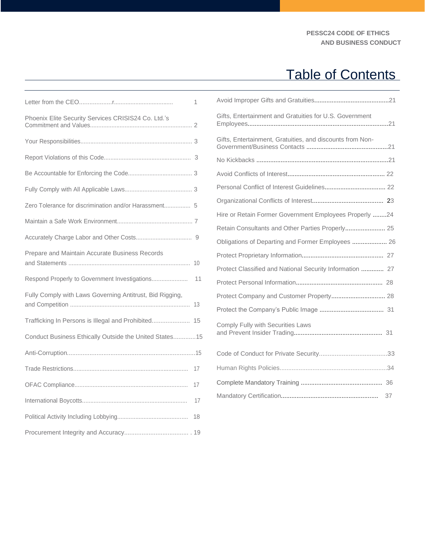## Table of Contents

|                                                          | 1  |
|----------------------------------------------------------|----|
| Phoenix Elite Security Services CRISIS24 Co. Ltd.'s      |    |
|                                                          |    |
|                                                          |    |
|                                                          |    |
|                                                          |    |
| Zero Tolerance for discrimination and/or Harassment 5    |    |
|                                                          |    |
|                                                          |    |
| Prepare and Maintain Accurate Business Records           |    |
|                                                          | 11 |
| Fully Comply with Laws Governing Antitrust, Bid Rigging, |    |
| Trafficking In Persons is Illegal and Prohibited 15      |    |
| Conduct Business Ethically Outside the United States 15  |    |
|                                                          |    |
|                                                          | 17 |
|                                                          | 17 |
|                                                          | 17 |
|                                                          | 18 |
|                                                          |    |

| Gifts, Entertainment and Gratuities for U.S. Government   |  |
|-----------------------------------------------------------|--|
| Gifts, Entertainment, Gratuities, and discounts from Non- |  |
|                                                           |  |
|                                                           |  |
|                                                           |  |
|                                                           |  |
| Hire or Retain Former Government Employees Properly 24    |  |
| Retain Consultants and Other Parties Properly 25          |  |
| Obligations of Departing and Former Employees  26         |  |
|                                                           |  |
| Protect Classified and National Security Information  27  |  |
|                                                           |  |
| Protect Company and Customer Property 28                  |  |
|                                                           |  |
| Comply Fully with Securities Laws                         |  |
|                                                           |  |
|                                                           |  |
|                                                           |  |
|                                                           |  |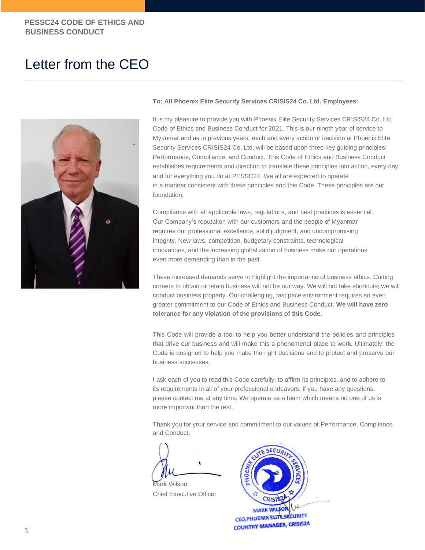## Letter from the CEO



#### **To: All Phoenix Elite Security Services CRISIS24 Co. Ltd. Employees:**

It is my pleasure to provide you with Phoenix Elite Security Services CRISIS24 Co. Ltd. Code of Ethics and Business Conduct for 2021. This is our nineth year of service to Myanmar and as in previous years, each and every action or decision at Phoenix Elite Security Services CRISIS24 Co. Ltd. will be based upon three key guiding principles: Performance, Compliance, and Conduct. This Code of Ethics and Business Conduct establishes requirements and direction to translate these principles into action, every day, and for everything you do at PESSC24. We all are expected to operate in a manner consistent with these principles and this Code. These principles are our foundation.

Compliance with all applicable laws, regulations, and best practices is essential. Our Company's reputation with our customers and the people of Myanmar requires our professional excellence, solid judgment, and uncompromising integrity. New laws, competition, budgetary constraints, technological innovations, and the increasing globalization of business make our operations even more demanding than in the past.

These increased demands serve to highlight the importance of business ethics. Cutting corners to obtain or retain business will not be our way. We will not take shortcuts; we will conduct business properly. Our challenging, fast pace environment requires an even greater commitment to our Code of Ethics and Business Conduct. **We will have zero tolerance for any violation of the provisions of this Code.**

This Code will provide a tool to help you better understand the policies and principles that drive our business and will make this a phenomenal place to work. Ultimately, the Code is designed to help you make the right decisions and to protect and preserve our business successes.

I ask each of you to read this Code carefully, to affirm its principles, and to adhere to its requirements in all of your professional endeavors. If you have any questions, please contact me at any time. We operate as a team which means no one of us is more important than the rest.

Thank you for your service and commitment to our values of Performance, Compliance and Conduct.

Mark Wilson

Chief Executive Officer

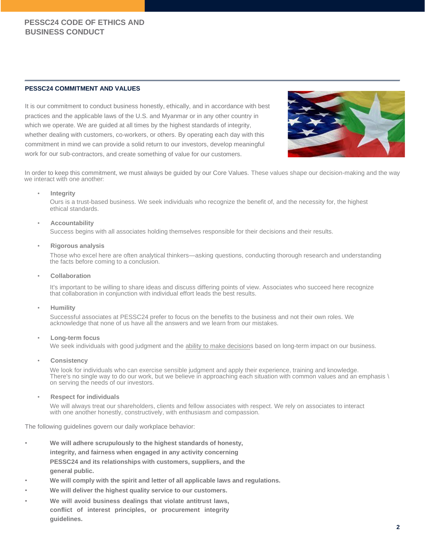#### **PESSC24 COMMITMENT AND VALUES**

It is our commitment to conduct business honestly, ethically, and in accordance with best practices and the applicable laws of the U.S. and Myanmar or in any other country in which we operate. We are guided at all times by the highest standards of integrity, whether dealing with customers, co-workers, or others. By operating each day with this commitment in mind we can provide a solid return to our investors, develop meaningful work for our sub-contractors, and create something of value for our customers.



In order to keep this commitment, we must always be guided by our Core Values. These values shape our decision-making and the way we interact with one another:

#### • **Integrity**

Ours is a trust-based business. We seek individuals who recognize the benefit of, and the necessity for, the highest ethical standards.

#### • **Accountability**

Success begins with all associates holding themselves responsible for their decisions and their results.

• **Rigorous analysis**

Those who excel here are often analytical thinkers—asking questions, conducting thorough research and understanding the facts before coming to a conclusion.

• **Collaboration**

It's important to be willing to share ideas and discuss differing points of view. Associates who succeed here recognize that collaboration in conjunction with individual effort leads the best results.

• **Humility**

Successful associates at PESSC24 prefer to focus on the benefits to the business and not their own roles. We acknowledge that none of us have all the answers and we learn from our mistakes.

#### • **Long-term focus**

We seek individuals with good judgment and the [ability to make decisions based on long-term impact on our business.](http://www.capgroup.com/careers/its_different_here/who.html)

#### • **Consistency**

We look for individuals who can exercise sensible judgment and apply their experience, training and knowledge. There's no single way to do our work, but we believe in approaching each situation with common values and an emphasis \ on serving the needs of our investors.

#### • **Respect for individuals**

We will always treat our shareholders, clients and fellow associates with respect. We rely on associates to interact with one another honestly, constructively, with enthusiasm and compassion.

The following guidelines govern our daily workplace behavior:

- **We will adhere scrupulously to the highest standards of honesty, integrity, and fairness when engaged in any activity concerning PESSC24 and its relationships with customers, suppliers, and the general public.**
- **We will comply with the spirit and letter of all applicable laws and regulations.**
- **We will deliver the highest quality service to our customers.**
- **We will avoid business dealings that violate antitrust laws, conflict of interest principles, or procurement integrity guidelines.**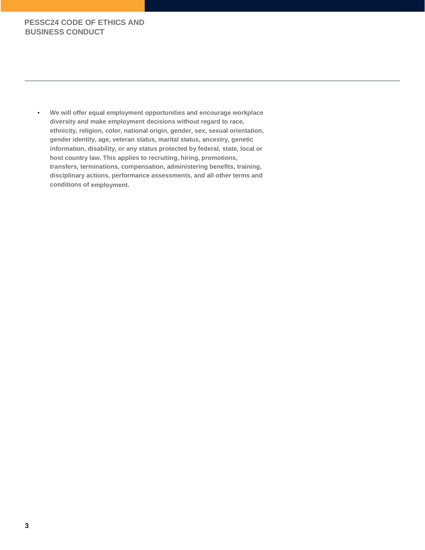• **We will offer equal employment opportunities and encourage workplace diversity and make employment decisions without regard to race, ethnicity, religion, color, national origin, gender, sex, sexual orientation, gender identity, age, veteran status, marital status, ancestry, genetic information, disability, or any status protected by federal, state, local or host country law. This applies to recruiting, hiring, promotions, transfers, terminations, compensation, administering benefits, training, disciplinary actions, performance assessments, and all other terms and conditions of employment.**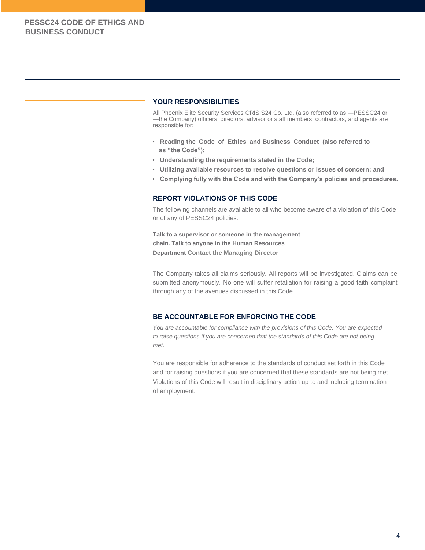#### **YOUR RESPONSIBILITIES**

All Phoenix Elite Security Services CRISIS24 Co. Ltd. (also referred to as ―PESSC24 or ―the Company) officers, directors, advisor or staff members, contractors, and agents are responsible for:

- **Reading the Code of Ethics and Business Conduct (also referred to as "the Code");**
- **Understanding the requirements stated in the Code;**
- **Utilizing available resources to resolve questions or issues of concern; and**
- **Complying fully with the Code and with the Company's policies and procedures.**

#### **REPORT VIOLATIONS OF THIS CODE**

The following channels are available to all who become aware of a violation of this Code or of any of PESSC24 policies:

**Talk to a supervisor or someone in the management chain. Talk to anyone in the Human Resources Department Contact the Managing Director**

The Company takes all claims seriously. All reports will be investigated. Claims can be submitted anonymously. No one will suffer retaliation for raising a good faith complaint through any of the avenues discussed in this Code.

#### **BE ACCOUNTABLE FOR ENFORCING THE CODE**

*You are accountable for compliance with the provisions of this Code. You are expected to raise questions if you are concerned that the standards of this Code are not being met.*

You are responsible for adherence to the standards of conduct set forth in this Code and for raising questions if you are concerned that these standards are not being met. Violations of this Code will result in disciplinary action up to and including termination of employment.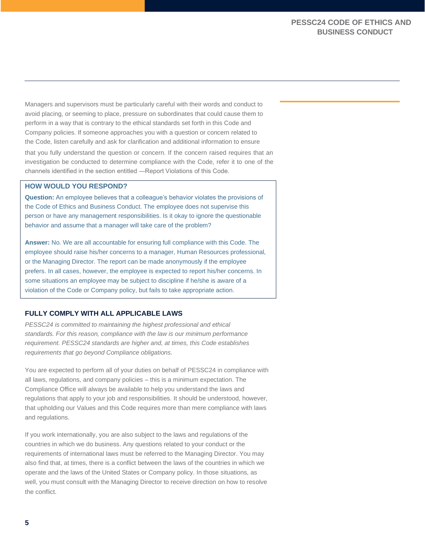Managers and supervisors must be particularly careful with their words and conduct to avoid placing, or seeming to place, pressure on subordinates that could cause them to perform in a way that is contrary to the ethical standards set forth in this Code and Company policies. If someone approaches you with a question or concern related to the Code, listen carefully and ask for clarification and additional information to ensure

that you fully understand the question or concern. If the concern raised requires that an investigation be conducted to determine compliance with the Code, refer it to one of the channels identified in the section entitled ―Report Violations of this Code.

#### **HOW WOULD YOU RESPOND?**

**Question:** An employee believes that a colleague's behavior violates the provisions of the Code of Ethics and Business Conduct. The employee does not supervise this person or have any management responsibilities. Is it okay to ignore the questionable behavior and assume that a manager will take care of the problem?

**Answer:** No. We are all accountable for ensuring full compliance with this Code. The employee should raise his/her concerns to a manager, Human Resources professional, or the Managing Director. The report can be made anonymously if the employee prefers. In all cases, however, the employee is expected to report his/her concerns. In some situations an employee may be subject to discipline if he/she is aware of a violation of the Code or Company policy, but fails to take appropriate action.

#### **FULLY COMPLY WITH ALL APPLICABLE LAWS**

*PESSC24 is committed to maintaining the highest professional and ethical standards. For this reason, compliance with the law is our minimum performance requirement. PESSC24 standards are higher and, at times, this Code establishes requirements that go beyond Compliance obligations.*

You are expected to perform all of your duties on behalf of PESSC24 in compliance with all laws, regulations, and company policies – this is a minimum expectation. The Compliance Office will always be available to help you understand the laws and regulations that apply to your job and responsibilities. It should be understood, however, that upholding our Values and this Code requires more than mere compliance with laws and regulations.

If you work internationally, you are also subject to the laws and regulations of the countries in which we do business. Any questions related to your conduct or the requirements of international laws must be referred to the Managing Director. You may also find that, at times, there is a conflict between the laws of the countries in which we operate and the laws of the United States or Company policy. In those situations, as well, you must consult with the Managing Director to receive direction on how to resolve the conflict.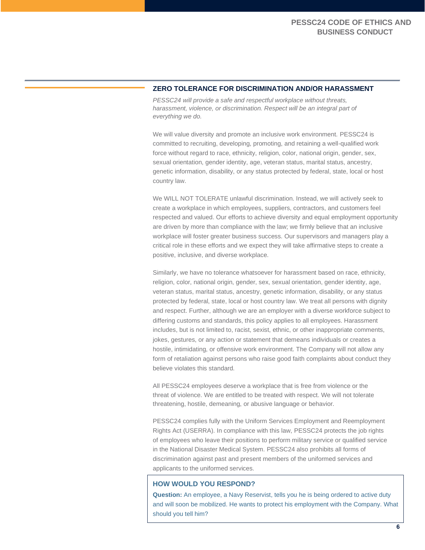#### **ZERO TOLERANCE FOR DISCRIMINATION AND/OR HARASSMENT**

*PESSC24 will provide a safe and respectful workplace without threats,*  harassment, violence, or discrimination. Respect will be an integral part of *everything we do.*

We will value diversity and promote an inclusive work environment. PESSC24 is committed to recruiting, developing, promoting, and retaining a well-qualified work force without regard to race, ethnicity, religion, color, national origin, gender, sex, sexual orientation, gender identity, age, veteran status, marital status, ancestry, genetic information, disability, or any status protected by federal, state, local or host country law.

We WILL NOT TOLERATE unlawful discrimination. Instead, we will actively seek to create a workplace in which employees, suppliers, contractors, and customers feel respected and valued. Our efforts to achieve diversity and equal employment opportunity are driven by more than compliance with the law; we firmly believe that an inclusive workplace will foster greater business success. Our supervisors and managers play a critical role in these efforts and we expect they will take affirmative steps to create a positive, inclusive, and diverse workplace.

Similarly, we have no tolerance whatsoever for harassment based on race, ethnicity, religion, color, national origin, gender, sex, sexual orientation, gender identity, age, veteran status, marital status, ancestry, genetic information, disability, or any status protected by federal, state, local or host country law. We treat all persons with dignity and respect. Further, although we are an employer with a diverse workforce subject to differing customs and standards, this policy applies to all employees. Harassment includes, but is not limited to, racist, sexist, ethnic, or other inappropriate comments, jokes, gestures, or any action or statement that demeans individuals or creates a hostile, intimidating, or offensive work environment. The Company will not allow any form of retaliation against persons who raise good faith complaints about conduct they believe violates this standard.

All PESSC24 employees deserve a workplace that is free from violence or the threat of violence. We are entitled to be treated with respect. We will not tolerate threatening, hostile, demeaning, or abusive language or behavior.

PESSC24 complies fully with the Uniform Services Employment and Reemployment Rights Act (USERRA). In compliance with this law, PESSC24 protects the job rights of employees who leave their positions to perform military service or qualified service in the National Disaster Medical System. PESSC24 also prohibits all forms of discrimination against past and present members of the uniformed services and applicants to the uniformed services.

#### **HOW WOULD YOU RESPOND?**

**Question:** An employee, a Navy Reservist, tells you he is being ordered to active duty and will soon be mobilized. He wants to protect his employment with the Company. What should you tell him?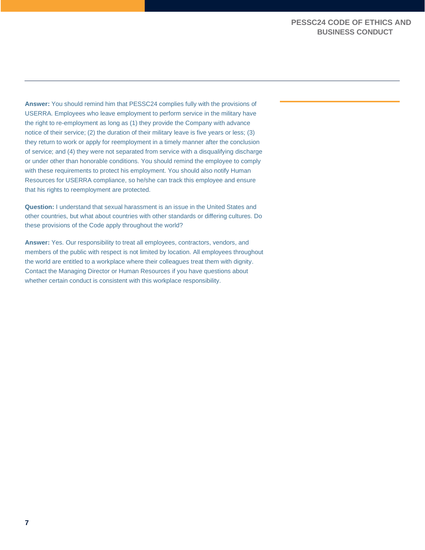**Answer:** You should remind him that PESSC24 complies fully with the provisions of USERRA. Employees who leave employment to perform service in the military have the right to re-employment as long as (1) they provide the Company with advance notice of their service; (2) the duration of their military leave is five years or less; (3) they return to work or apply for reemployment in a timely manner after the conclusion of service; and (4) they were not separated from service with a disqualifying discharge or under other than honorable conditions. You should remind the employee to comply with these requirements to protect his employment. You should also notify Human Resources for USERRA compliance, so he/she can track this employee and ensure that his rights to reemployment are protected.

**Question:** I understand that sexual harassment is an issue in the United States and other countries, but what about countries with other standards or differing cultures. Do these provisions of the Code apply throughout the world?

**Answer:** Yes. Our responsibility to treat all employees, contractors, vendors, and members of the public with respect is not limited by location. All employees throughout the world are entitled to a workplace where their colleagues treat them with dignity. Contact the Managing Director or Human Resources if you have questions about whether certain conduct is consistent with this workplace responsibility.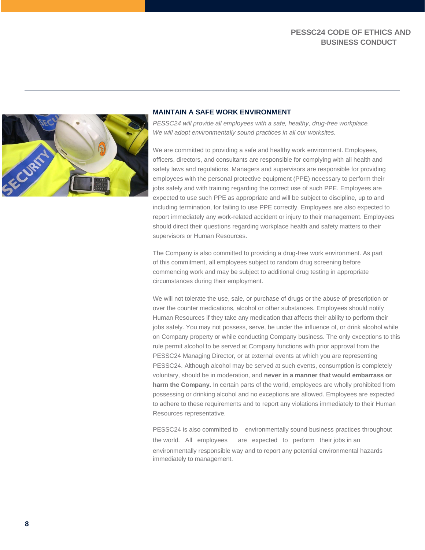

#### **MAINTAIN A SAFE WORK ENVIRONMENT**

*PESSC24 will provide all employees with a safe, healthy, drug-free workplace. We will adopt environmentally sound practices in all our worksites.*

We are committed to providing a safe and healthy work environment. Employees, officers, directors, and consultants are responsible for complying with all health and safety laws and regulations. Managers and supervisors are responsible for providing employees with the personal protective equipment (PPE) necessary to perform their jobs safely and with training regarding the correct use of such PPE. Employees are expected to use such PPE as appropriate and will be subject to discipline, up to and including termination, for failing to use PPE correctly. Employees are also expected to report immediately any work-related accident or injury to their management. Employees should direct their questions regarding workplace health and safety matters to their supervisors or Human Resources.

The Company is also committed to providing a drug-free work environment. As part of this commitment, all employees subject to random drug screening before commencing work and may be subject to additional drug testing in appropriate circumstances during their employment.

We will not tolerate the use, sale, or purchase of drugs or the abuse of prescription or over the counter medications, alcohol or other substances. Employees should notify Human Resources if they take any medication that affects their ability to perform their jobs safely. You may not possess, serve, be under the influence of, or drink alcohol while on Company property or while conducting Company business. The only exceptions to this rule permit alcohol to be served at Company functions with prior approval from the PESSC24 Managing Director, or at external events at which you are representing PESSC24. Although alcohol may be served at such events, consumption is completely voluntary, should be in moderation, and **never in a manner that would embarrass or harm the Company.** In certain parts of the world, employees are wholly prohibited from possessing or drinking alcohol and no exceptions are allowed. Employees are expected to adhere to these requirements and to report any violations immediately to their Human Resources representative.

PESSC24 is also committed to environmentally sound business practices throughout the world. All employees are expected to perform their jobs in an environmentally responsible way and to report any potential environmental hazards immediately to management.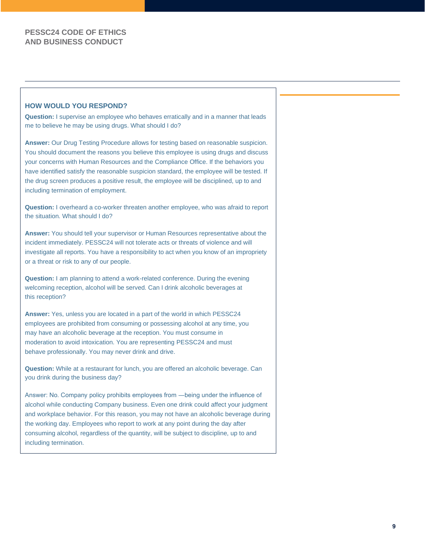#### **HOW WOULD YOU RESPOND?**

**Question:** I supervise an employee who behaves erratically and in a manner that leads me to believe he may be using drugs. What should I do?

**Answer:** Our Drug Testing Procedure allows for testing based on reasonable suspicion. You should document the reasons you believe this employee is using drugs and discuss your concerns with Human Resources and the Compliance Office. If the behaviors you have identified satisfy the reasonable suspicion standard, the employee will be tested. If the drug screen produces a positive result, the employee will be disciplined, up to and including termination of employment.

**Question:** I overheard a co-worker threaten another employee, who was afraid to report the situation. What should I do?

**Answer:** You should tell your supervisor or Human Resources representative about the incident immediately. PESSC24 will not tolerate acts or threats of violence and will investigate all reports. You have a responsibility to act when you know of an impropriety or a threat or risk to any of our people.

**Question:** I am planning to attend a work-related conference. During the evening welcoming reception, alcohol will be served. Can I drink alcoholic beverages at this reception?

**Answer:** Yes, unless you are located in a part of the world in which PESSC24 employees are prohibited from consuming or possessing alcohol at any time, you may have an alcoholic beverage at the reception. You must consume in moderation to avoid intoxication. You are representing PESSC24 and must behave professionally. You may never drink and drive.

**Question:** While at a restaurant for lunch, you are offered an alcoholic beverage. Can you drink during the business day?

Answer: No. Company policy prohibits employees from ―being under the influence of alcohol while conducting Company business. Even one drink could affect your judgment and workplace behavior. For this reason, you may not have an alcoholic beverage during the working day. Employees who report to work at any point during the day after consuming alcohol, regardless of the quantity, will be subject to discipline, up to and including termination.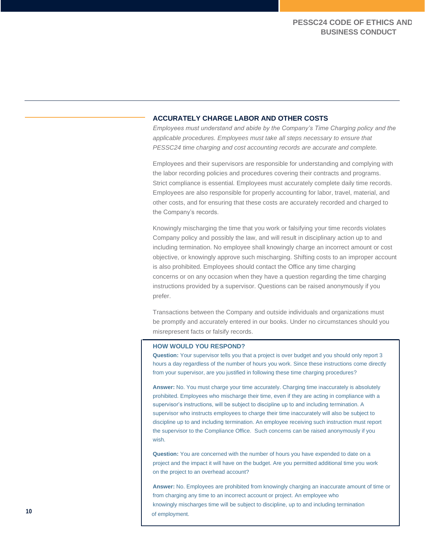#### **ACCURATELY CHARGE LABOR AND OTHER COSTS**

*Employees must understand and abide by the Company's Time Charging policy and the applicable procedures. Employees must take all steps necessary to ensure that PESSC24 time charging and cost accounting records are accurate and complete.*

Employees and their supervisors are responsible for understanding and complying with the labor recording policies and procedures covering their contracts and programs. Strict compliance is essential. Employees must accurately complete daily time records. Employees are also responsible for properly accounting for labor, travel, material, and other costs, and for ensuring that these costs are accurately recorded and charged to the Company's records.

Knowingly mischarging the time that you work or falsifying your time records violates Company policy and possibly the law, and will result in disciplinary action up to and including termination. No employee shall knowingly charge an incorrect amount or cost objective, or knowingly approve such mischarging. Shifting costs to an improper account is also prohibited. Employees should contact the Office any time charging concerns or on any occasion when they have a question regarding the time charging instructions provided by a supervisor. Questions can be raised anonymously if you prefer.

Transactions between the Company and outside individuals and organizations must be promptly and accurately entered in our books. Under no circumstances should you misrepresent facts or falsify records.

#### **HOW WOULD YOU RESPOND?**

**Question:** Your supervisor tells you that a project is over budget and you should only report 3 hours a day regardless of the number of hours you work. Since these instructions come directly from your supervisor, are you justified in following these time charging procedures?

**Answer:** No. You must charge your time accurately. Charging time inaccurately is absolutely prohibited. Employees who mischarge their time, even if they are acting in compliance with a supervisor's instructions, will be subject to discipline up to and including termination. A supervisor who instructs employees to charge their time inaccurately will also be subject to discipline up to and including termination. An employee receiving such instruction must report the supervisor to the Compliance Office. Such concerns can be raised anonymously if you wish.

**Question:** You are concerned with the number of hours you have expended to date on a project and the impact it will have on the budget. Are you permitted additional time you work on the project to an overhead account?

**Answer:** No. Employees are prohibited from knowingly charging an inaccurate amount of time or from charging any time to an incorrect account or project. An employee who knowingly mischarges time will be subject to discipline, up to and including termination **10** of employment.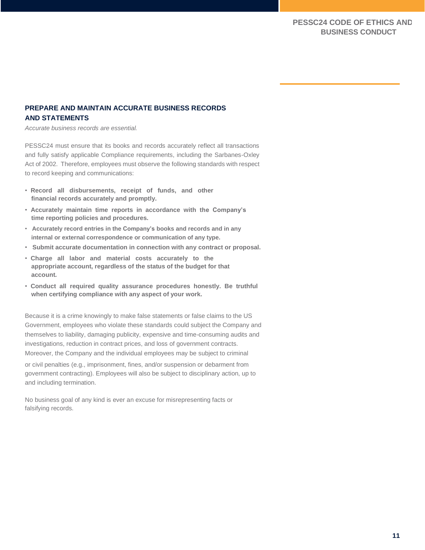## **PREPARE AND MAINTAIN ACCURATE BUSINESS RECORDS AND STATEMENTS**

*Accurate business records are essential.*

PESSC24 must ensure that its books and records accurately reflect all transactions and fully satisfy applicable Compliance requirements, including the Sarbanes-Oxley Act of 2002. Therefore, employees must observe the following standards with respect to record keeping and communications:

- **Record all disbursements, receipt of funds, and other financial records accurately and promptly.**
- **Accurately maintain time reports in accordance with the Company's time reporting policies and procedures.**
- **Accurately record entries in the Company's books and records and in any internal or external correspondence or communication of any type.**
- **Submit accurate documentation in connection with any contract or proposal.**
- **Charge all labor and material costs accurately to the appropriate account, regardless of the status of the budget for that account.**
- **Conduct all required quality assurance procedures honestly. Be truthful when certifying compliance with any aspect of your work.**

Because it is a crime knowingly to make false statements or false claims to the US Government, employees who violate these standards could subject the Company and themselves to liability, damaging publicity, expensive and time-consuming audits and investigations, reduction in contract prices, and loss of government contracts. Moreover, the Company and the individual employees may be subject to criminal or civil penalties (e.g., imprisonment, fines, and/or suspension or debarment from government contracting). Employees will also be subject to disciplinary action, up to and including termination.

No business goal of any kind is ever an excuse for misrepresenting facts or falsifying records.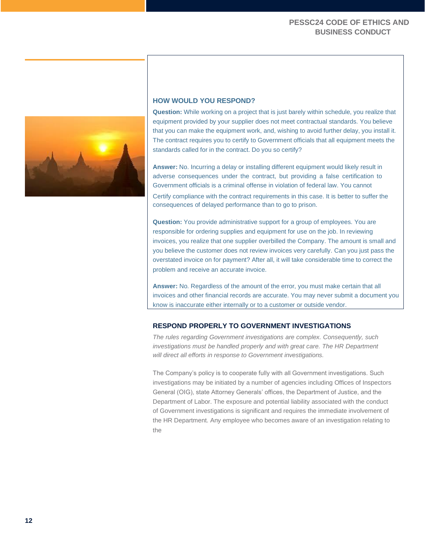

#### **HOW WOULD YOU RESPOND?**

**Question:** While working on a project that is just barely within schedule, you realize that equipment provided by your supplier does not meet contractual standards. You believe that you can make the equipment work, and, wishing to avoid further delay, you install it. The contract requires you to certify to Government officials that all equipment meets the standards called for in the contract. Do you so certify?

**Answer:** No. Incurring a delay or installing different equipment would likely result in adverse consequences under the contract, but providing a false certification to Government officials is a criminal offense in violation of federal law. You cannot Certify compliance with the contract requirements in this case. It is better to suffer the consequences of delayed performance than to go to prison.

**Question:** You provide administrative support for a group of employees. You are responsible for ordering supplies and equipment for use on the job. In reviewing invoices, you realize that one supplier overbilled the Company. The amount is small and you believe the customer does not review invoices very carefully. Can you just pass the overstated invoice on for payment? After all, it will take considerable time to correct the problem and receive an accurate invoice.

**Answer:** No. Regardless of the amount of the error, you must make certain that all invoices and other financial records are accurate. You may never submit a document you know is inaccurate either internally or to a customer or outside vendor.

#### **RESPOND PROPERLY TO GOVERNMENT INVESTIGATIONS**

*The rules regarding Government investigations are complex. Consequently, such*  investigations must be handled properly and with great care. The HR Department *will direct all efforts in response to Government investigations.*

The Company's policy is to cooperate fully with all Government investigations. Such investigations may be initiated by a number of agencies including Offices of Inspectors General (OIG), state Attorney Generals' offices, the Department of Justice, and the Department of Labor. The exposure and potential liability associated with the conduct of Government investigations is significant and requires the immediate involvement of the HR Department. Any employee who becomes aware of an investigation relating to the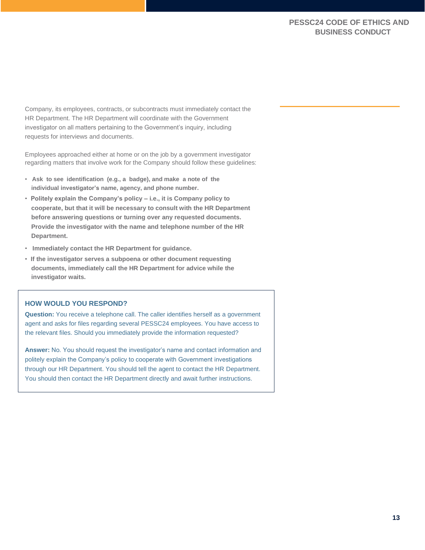Company, its employees, contracts, or subcontracts must immediately contact the HR Department. The HR Department will coordinate with the Government investigator on all matters pertaining to the Government's inquiry, including requests for interviews and documents.

Employees approached either at home or on the job by a government investigator regarding matters that involve work for the Company should follow these guidelines:

- **Ask to see identification (e.g., a badge), and make a note of the individual investigator's name, agency, and phone number.**
- **Politely explain the Company's policy – i.e., it is Company policy to cooperate, but that it will be necessary to consult with the HR Department before answering questions or turning over any requested documents. Provide the investigator with the name and telephone number of the HR Department.**
- **Immediately contact the HR Department for guidance.**
- **If the investigator serves a subpoena or other document requesting documents, immediately call the HR Department for advice while the investigator waits.**

## **HOW WOULD YOU RESPOND?**

**Question:** You receive a telephone call. The caller identifies herself as a government agent and asks for files regarding several PESSC24 employees. You have access to the relevant files. Should you immediately provide the information requested?

**Answer:** No. You should request the investigator's name and contact information and politely explain the Company's policy to cooperate with Government investigations through our HR Department. You should tell the agent to contact the HR Department. You should then contact the HR Department directly and await further instructions.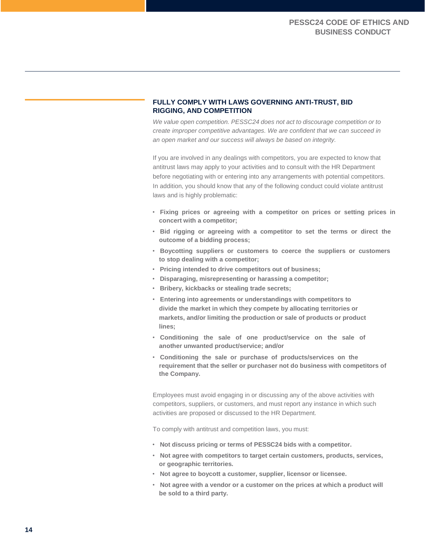### **FULLY COMPLY WITH LAWS GOVERNING ANTI-TRUST, BID RIGGING, AND COMPETITION**

*We value open competition. PESSC24 does not act to discourage competition or to create improper competitive advantages. We are confident that we can succeed in an open market and our success will always be based on integrity.*

If you are involved in any dealings with competitors, you are expected to know that antitrust laws may apply to your activities and to consult with the HR Department before negotiating with or entering into any arrangements with potential competitors. In addition, you should know that any of the following conduct could violate antitrust laws and is highly problematic:

- **Fixing prices or agreeing with a competitor on prices or setting prices in concert with a competitor;**
- **Bid rigging or agreeing with a competitor to set the terms or direct the outcome of a bidding process;**
- **Boycotting suppliers or customers to coerce the suppliers or customers to stop dealing with a competitor;**
- **Pricing intended to drive competitors out of business;**
- **Disparaging, misrepresenting or harassing a competitor;**
- **Bribery, kickbacks or stealing trade secrets;**
- **Entering into agreements or understandings with competitors to divide the market in which they compete by allocating territories or markets, and/or limiting the production or sale of products or product lines;**
- **Conditioning the sale of one product/service on the sale of another unwanted product/service; and/or**
- **Conditioning the sale or purchase of products/services on the requirement that the seller or purchaser not do business with competitors of the Company.**

Employees must avoid engaging in or discussing any of the above activities with competitors, suppliers, or customers, and must report any instance in which such activities are proposed or discussed to the HR Department.

To comply with antitrust and competition laws, you must:

- **Not discuss pricing or terms of PESSC24 bids with a competitor.**
- **Not agree with competitors to target certain customers, products, services, or geographic territories.**
- **Not agree to boycott a customer, supplier, licensor or licensee.**
- **Not agree with a vendor or a customer on the prices at which a product will be sold to a third party.**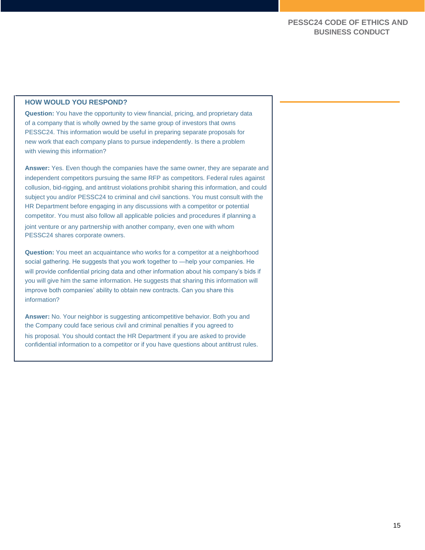#### **HOW WOULD YOU RESPOND?**

**Question:** You have the opportunity to view financial, pricing, and proprietary data of a company that is wholly owned by the same group of investors that owns PESSC24. This information would be useful in preparing separate proposals for new work that each company plans to pursue independently. Is there a problem with viewing this information?

**Answer:** Yes. Even though the companies have the same owner, they are separate and independent competitors pursuing the same RFP as competitors. Federal rules against collusion, bid-rigging, and antitrust violations prohibit sharing this information, and could subject you and/or PESSC24 to criminal and civil sanctions. You must consult with the HR Department before engaging in any discussions with a competitor or potential competitor. You must also follow all applicable policies and procedures if planning a joint venture or any partnership with another company, even one with whom PESSC24 shares corporate owners.

**Question:** You meet an acquaintance who works for a competitor at a neighborhood social gathering. He suggests that you work together to ―help your companies. He will provide confidential pricing data and other information about his company's bids if you will give him the same information. He suggests that sharing this information will improve both companies' ability to obtain new contracts. Can you share this information?

**Answer:** No. Your neighbor is suggesting anticompetitive behavior. Both you and the Company could face serious civil and criminal penalties if you agreed to his proposal. You should contact the HR Department if you are asked to provide confidential information to a competitor or if you have questions about antitrust rules.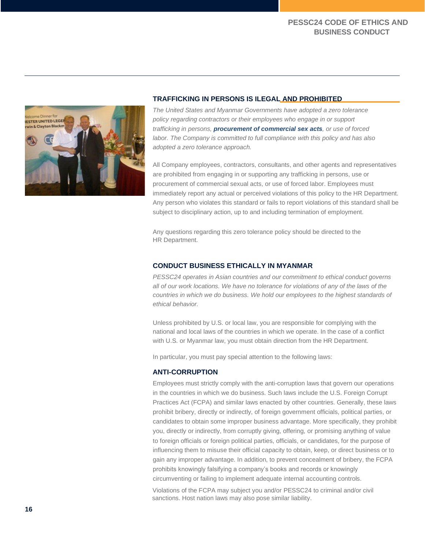

#### **TRAFFICKING IN PERSONS IS ILEGAL AND PROHIBITED**

*The United States and Myanmar Governments have adopted a zero tolerance policy regarding contractors or their employees who engage in or support trafficking in persons, procurement of commercial sex acts, or use of forced labor. The Company is committed to full compliance with this policy and has also adopted a zero tolerance approach.*

All Company employees, contractors, consultants, and other agents and representatives are prohibited from engaging in or supporting any trafficking in persons, use or procurement of commercial sexual acts, or use of forced labor. Employees must immediately report any actual or perceived violations of this policy to the HR Department. Any person who violates this standard or fails to report violations of this standard shall be subject to disciplinary action, up to and including termination of employment.

Any questions regarding this zero tolerance policy should be directed to the HR Department.

#### **CONDUCT BUSINESS ETHICALLY IN MYANMAR**

*PESSC24 operates in Asian countries and our commitment to ethical conduct governs all of our work locations. We have no tolerance for violations of any of the laws of the countries in which we do business. We hold our employees to the highest standards of ethical behavior.*

Unless prohibited by U.S. or local law, you are responsible for complying with the national and local laws of the countries in which we operate. In the case of a conflict with U.S. or Myanmar law, you must obtain direction from the HR Department.

In particular, you must pay special attention to the following laws:

### **ANTI-CORRUPTION**

Employees must strictly comply with the anti-corruption laws that govern our operations in the countries in which we do business. Such laws include the U.S. Foreign Corrupt Practices Act (FCPA) and similar laws enacted by other countries. Generally, these laws prohibit bribery, directly or indirectly, of foreign government officials, political parties, or candidates to obtain some improper business advantage. More specifically, they prohibit you, directly or indirectly, from corruptly giving, offering, or promising anything of value to foreign officials or foreign political parties, officials, or candidates, for the purpose of influencing them to misuse their official capacity to obtain, keep, or direct business or to gain any improper advantage. In addition, to prevent concealment of bribery, the FCPA prohibits knowingly falsifying a company's books and records or knowingly circumventing or failing to implement adequate internal accounting controls.

Violations of the FCPA may subject you and/or PESSC24 to criminal and/or civil sanctions. Host nation laws may also pose similar liability.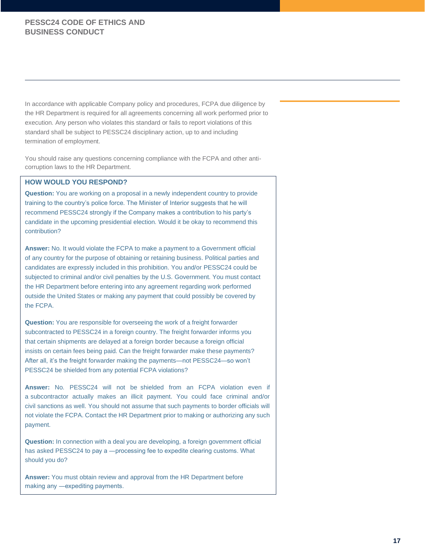In accordance with applicable Company policy and procedures, FCPA due diligence by the HR Department is required for all agreements concerning all work performed prior to execution. Any person who violates this standard or fails to report violations of this standard shall be subject to PESSC24 disciplinary action, up to and including termination of employment.

You should raise any questions concerning compliance with the FCPA and other anticorruption laws to the HR Department.

#### **HOW WOULD YOU RESPOND?**

**Question:** You are working on a proposal in a newly independent country to provide training to the country's police force. The Minister of Interior suggests that he will recommend PESSC24 strongly if the Company makes a contribution to his party's candidate in the upcoming presidential election. Would it be okay to recommend this contribution?

**Answer:** No. It would violate the FCPA to make a payment to a Government official of any country for the purpose of obtaining or retaining business. Political parties and candidates are expressly included in this prohibition. You and/or PESSC24 could be subjected to criminal and/or civil penalties by the U.S. Government. You must contact the HR Department before entering into any agreement regarding work performed outside the United States or making any payment that could possibly be covered by the FCPA.

**Question:** You are responsible for overseeing the work of a freight forwarder subcontracted to PESSC24 in a foreign country. The freight forwarder informs you that certain shipments are delayed at a foreign border because a foreign official insists on certain fees being paid. Can the freight forwarder make these payments? After all, it's the freight forwarder making the payments—not PESSC24—so won't PESSC24 be shielded from any potential FCPA violations?

**Answer:** No. PESSC24 will not be shielded from an FCPA violation even if a subcontractor actually makes an illicit payment. You could face criminal and/or civil sanctions as well. You should not assume that such payments to border officials will not violate the FCPA. Contact the HR Department prior to making or authorizing any such payment.

**Question:** In connection with a deal you are developing, a foreign government official has asked PESSC24 to pay a —processing fee to expedite clearing customs. What should you do?

**Answer:** You must obtain review and approval from the HR Department before making any ―expediting payments.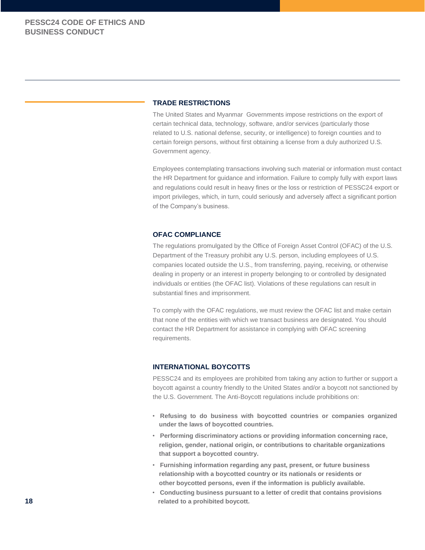#### **TRADE RESTRICTIONS**

The United States and Myanmar Governments impose restrictions on the export of certain technical data, technology, software, and/or services (particularly those related to U.S. national defense, security, or intelligence) to foreign counties and to certain foreign persons, without first obtaining a license from a duly authorized U.S. Government agency.

Employees contemplating transactions involving such material or information must contact the HR Department for guidance and information. Failure to comply fully with export laws and regulations could result in heavy fines or the loss or restriction of PESSC24 export or import privileges, which, in turn, could seriously and adversely affect a significant portion of the Company's business.

#### **OFAC COMPLIANCE**

The regulations promulgated by the Office of Foreign Asset Control (OFAC) of the U.S. Department of the Treasury prohibit any U.S. person, including employees of U.S. companies located outside the U.S., from transferring, paying, receiving, or otherwise dealing in property or an interest in property belonging to or controlled by designated individuals or entities (the OFAC list). Violations of these regulations can result in substantial fines and imprisonment.

To comply with the OFAC regulations, we must review the OFAC list and make certain that none of the entities with which we transact business are designated. You should contact the HR Department for assistance in complying with OFAC screening requirements.

#### **INTERNATIONAL BOYCOTTS**

PESSC24 and its employees are prohibited from taking any action to further or support a boycott against a country friendly to the United States and/or a boycott not sanctioned by the U.S. Government. The Anti-Boycott regulations include prohibitions on:

- **Refusing to do business with boycotted countries or companies organized under the laws of boycotted countries.**
- **Performing discriminatory actions or providing information concerning race, religion, gender, national origin, or contributions to charitable organizations that support a boycotted country.**
- **Furnishing information regarding any past, present, or future business relationship with a boycotted country or its nationals or residents or other boycotted persons, even if the information is publicly available.**
- **Conducting business pursuant to a letter of credit that contains provisions 18 related to a prohibited boycott.**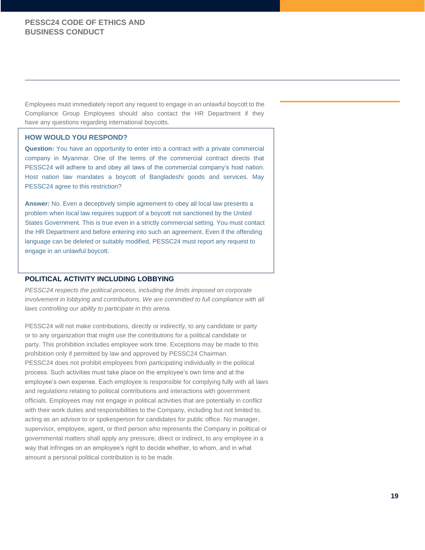Employees must immediately report any request to engage in an unlawful boycott to the Compliance Group Employees should also contact the HR Department if they have any questions regarding international boycotts.

#### **HOW WOULD YOU RESPOND?**

**Question:** You have an opportunity to enter into a contract with a private commercial company in Myanmar. One of the terms of the commercial contract directs that PESSC24 will adhere to and obey all laws of the commercial company's host nation. Host nation law mandates a boycott of Bangladeshi goods and services. May PESSC24 agree to this restriction?

**Answer:** No. Even a deceptively simple agreement to obey all local law presents a problem when local law requires support of a boycott not sanctioned by the United States Government. This is true even in a strictly commercial setting. You must contact the HR Department and before entering into such an agreement. Even if the offending language can be deleted or suitably modified, PESSC24 must report any request to engage in an unlawful boycott.

#### **POLITICAL ACTIVITY INCLUDING LOBBYING**

*PESSC24 respects the political process, including the limits imposed on corporate involvement in lobbying and contributions. We are committed to full compliance with all laws controlling our ability to participate in this arena.*

PESSC24 will not make contributions, directly or indirectly, to any candidate or party or to any organization that might use the contributions for a political candidate or party. This prohibition includes employee work time. Exceptions may be made to this prohibition only if permitted by law and approved by PESSC24 Chairman. PESSC24 does not prohibit employees from participating individually in the political process. Such activities must take place on the employee's own time and at the employee's own expense. Each employee is responsible for complying fully with all laws and regulations relating to political contributions and interactions with government officials. Employees may not engage in political activities that are potentially in conflict with their work duties and responsibilities to the Company, including but not limited to, acting as an advisor to or spokesperson for candidates for public office. No manager, supervisor, employee, agent, or third person who represents the Company in political or governmental matters shall apply any pressure, direct or indirect, to any employee in a way that infringes on an employee's right to decide whether, to whom, and in what amount a personal political contribution is to be made.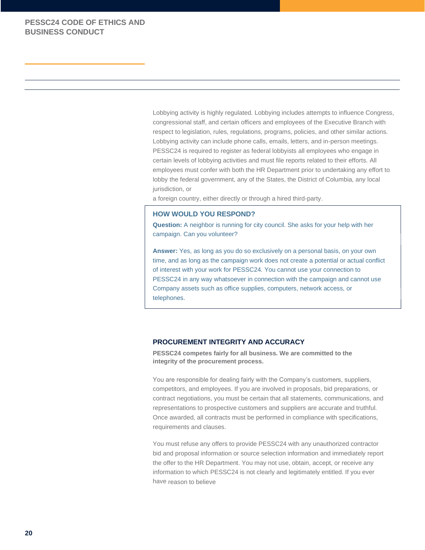Lobbying activity is highly regulated. Lobbying includes attempts to influence Congress, congressional staff, and certain officers and employees of the Executive Branch with respect to legislation, rules, regulations, programs, policies, and other similar actions. Lobbying activity can include phone calls, emails, letters, and in-person meetings. PESSC24 is required to register as federal lobbyists all employees who engage in certain levels of lobbying activities and must file reports related to their efforts. All employees must confer with both the HR Department prior to undertaking any effort to lobby the federal government, any of the States, the District of Columbia, any local jurisdiction, or

a foreign country, either directly or through a hired third-party.

#### **HOW WOULD YOU RESPOND?**

**Question:** A neighbor is running for city council. She asks for your help with her campaign. Can you volunteer?

**Answer:** Yes, as long as you do so exclusively on a personal basis, on your own time, and as long as the campaign work does not create a potential or actual conflict of interest with your work for PESSC24. You cannot use your connection to PESSC24 in any way whatsoever in connection with the campaign and cannot use Company assets such as office supplies, computers, network access, or telephones.

## **PROCUREMENT INTEGRITY AND ACCURACY**

**PESSC24 competes fairly for all business. We are committed to the integrity of the procurement process.**

You are responsible for dealing fairly with the Company's customers, suppliers, competitors, and employees. If you are involved in proposals, bid preparations, or contract negotiations, you must be certain that all statements, communications, and representations to prospective customers and suppliers are accurate and truthful. Once awarded, all contracts must be performed in compliance with specifications, requirements and clauses.

You must refuse any offers to provide PESSC24 with any unauthorized contractor bid and proposal information or source selection information and immediately report the offer to the HR Department. You may not use, obtain, accept, or receive any information to which PESSC24 is not clearly and legitimately entitled. If you ever have reason to believe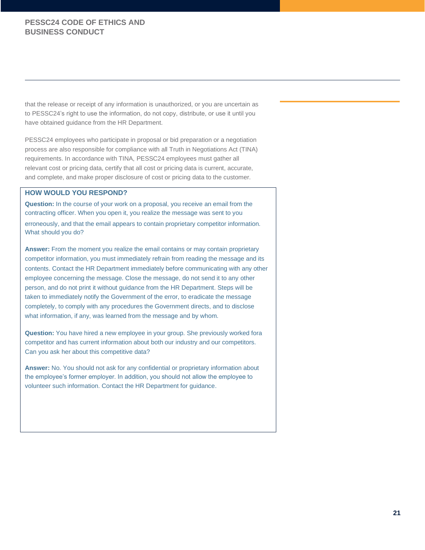that the release or receipt of any information is unauthorized, or you are uncertain as to PESSC24's right to use the information, do not copy, distribute, or use it until you have obtained guidance from the HR Department.

PESSC24 employees who participate in proposal or bid preparation or a negotiation process are also responsible for compliance with all Truth in Negotiations Act (TINA) requirements. In accordance with TINA, PESSC24 employees must gather all relevant cost or pricing data, certify that all cost or pricing data is current, accurate, and complete, and make proper disclosure of cost or pricing data to the customer.

#### **HOW WOULD YOU RESPOND?**

**Question:** In the course of your work on a proposal, you receive an email from the contracting officer. When you open it, you realize the message was sent to you erroneously, and that the email appears to contain proprietary competitor information. What should you do?

**Answer:** From the moment you realize the email contains or may contain proprietary competitor information, you must immediately refrain from reading the message and its contents. Contact the HR Department immediately before communicating with any other employee concerning the message. Close the message, do not send it to any other person, and do not print it without guidance from the HR Department. Steps will be taken to immediately notify the Government of the error, to eradicate the message completely, to comply with any procedures the Government directs, and to disclose what information, if any, was learned from the message and by whom.

**Question:** You have hired a new employee in your group. She previously worked fora competitor and has current information about both our industry and our competitors. Can you ask her about this competitive data?

**Answer:** No. You should not ask for any confidential or proprietary information about the employee's former employer. In addition, you should not allow the employee to volunteer such information. Contact the HR Department for guidance.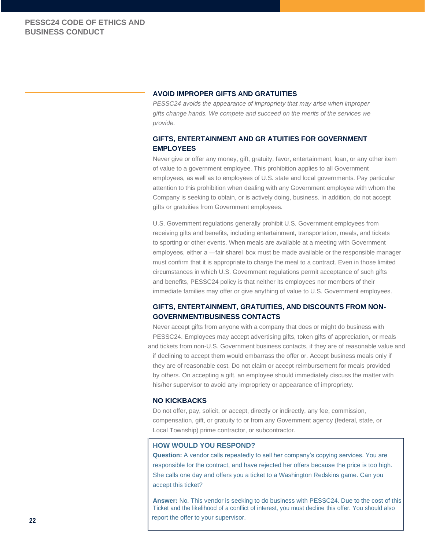#### **AVOID IMPROPER GIFTS AND GRATUITIES**

*PESSC24 avoids the appearance of impropriety that may arise when improper gifts change hands. We compete and succeed on the merits of the services we provide.*

## **GIFTS, ENTERTAINMENT AND GR ATUITIES FOR GOVERNMENT EMPLOYEES**

Never give or offer any money, gift, gratuity, favor, entertainment, loan, or any other item of value to a government employee. This prohibition applies to all Government employees, as well as to employees of U.S. state and local governments. Pay particular attention to this prohibition when dealing with any Government employee with whom the Company is seeking to obtain, or is actively doing, business. In addition, do not accept gifts or gratuities from Government employees.

U.S. Government regulations generally prohibit U.S. Government employees from receiving gifts and benefits, including entertainment, transportation, meals, and tickets to sporting or other events. When meals are available at a meeting with Government employees, either a —fair sharell box must be made available or the responsible manager must confirm that it is appropriate to charge the meal to a contract. Even in those limited circumstances in which U.S. Government regulations permit acceptance of such gifts and benefits, PESSC24 policy is that neither its employees nor members of their immediate families may offer or give anything of value to U.S. Government employees.

## **GIFTS, ENTERTAINMENT, GRATUITIES, AND DISCOUNTS FROM NON-GOVERNMENT/BUSINESS CONTACTS**

Never accept gifts from anyone with a company that does or might do business with PESSC24. Employees may accept advertising gifts, token gifts of appreciation, or meals and tickets from non-U.S. Government business contacts, if they are of reasonable value and if declining to accept them would embarrass the offer or. Accept business meals only if they are of reasonable cost. Do not claim or accept reimbursement for meals provided by others. On accepting a gift, an employee should immediately discuss the matter with his/her supervisor to avoid any impropriety or appearance of impropriety.

#### **NO KICKBACKS**

Do not offer, pay, solicit, or accept, directly or indirectly, any fee, commission, compensation, gift, or gratuity to or from any Government agency (federal, state, or Local Township) prime contractor, or subcontractor.

#### **HOW WOULD YOU RESPOND?**

**Question:** A vendor calls repeatedly to sell her company's copying services. You are responsible for the contract, and have rejected her offers because the price is too high. She calls one day and offers you a ticket to a Washington Redskins game. Can you accept this ticket?

**Answer:** No. This vendor is seeking to do business with PESSC24. Due to the cost of this Ticket and the likelihood of a conflict of interest, you must decline this offer. You should also report the offer to your supervisor.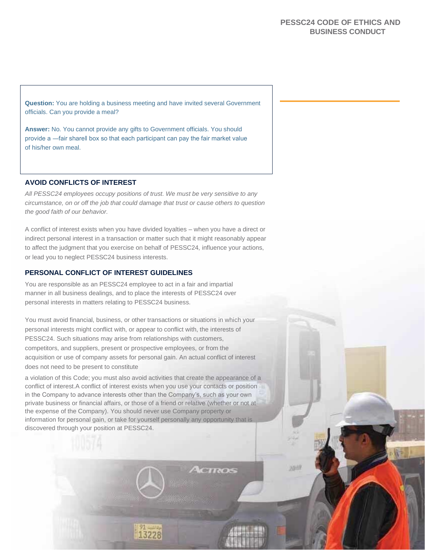**Question:** You are holding a business meeting and have invited several Government officials. Can you provide a meal?

**Answer:** No. You cannot provide any gifts to Government officials. You should provide a ―fair share‖ box so that each participant can pay the fair market value of his/her own meal.

#### **AVOID CONFLICTS OF INTEREST**

*All PESSC24 employees occupy positions of trust. We must be very sensitive to any circumstance, on or off the job that could damage that trust or cause others to question the good faith of our behavior.*

A conflict of interest exists when you have divided loyalties – when you have a direct or indirect personal interest in a transaction or matter such that it might reasonably appear to affect the judgment that you exercise on behalf of PESSC24, influence your actions, or lead you to neglect PESSC24 business interests.

#### **PERSONAL CONFLICT OF INTEREST GUIDELINES**

You are responsible as an PESSC24 employee to act in a fair and impartial manner in all business dealings, and to place the interests of PESSC24 over personal interests in matters relating to PESSC24 business.

You must avoid financial, business, or other transactions or situations in which your personal interests might conflict with, or appear to conflict with, the interests of PESSC24. Such situations may arise from relationships with customers, competitors, and suppliers, present or prospective employees, or from the acquisition or use of company assets for personal gain. An actual conflict of interest does not need to be present to constitute

a violation of this Code; you must also avoid activities that create the appearance of a conflict of interest.A conflict of interest exists when you use your contacts or position in the Company to advance interests other than the Company's, such as your own private business or financial affairs, or those of a friend or relative (whether or not at the expense of the Company). You should never use Company property or information for personal gain, or take for yourself personally any opportunity that is discovered through your position at PESSC24.

13228

yum

**CIROS**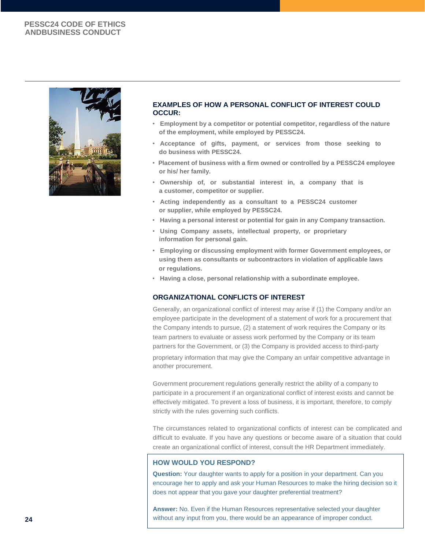

#### **EXAMPLES OF HOW A PERSONAL CONFLICT OF INTEREST COULD OCCUR:**

- **Employment by a competitor or potential competitor, regardless of the nature of the employment, while employed by PESSC24.**
- **Acceptance of gifts, payment, or services from those seeking to do business with PESSC24.**
- **Placement of business with a firm owned or controlled by a PESSC24 employee or his/ her family.**
- **Ownership of, or substantial interest in, a company that is a customer, competitor or supplier.**
- **Acting independently as a consultant to a PESSC24 customer or supplier, while employed by PESSC24.**
- **Having a personal interest or potential for gain in any Company transaction.**
- **Using Company assets, intellectual property, or proprietary information for personal gain.**
- **Employing or discussing employment with former Government employees, or using them as consultants or subcontractors in violation of applicable laws or regulations.**
- **Having a close, personal relationship with a subordinate employee.**

### **ORGANIZATIONAL CONFLICTS OF INTEREST**

Generally, an organizational conflict of interest may arise if (1) the Company and/or an employee participate in the development of a statement of work for a procurement that the Company intends to pursue, (2) a statement of work requires the Company or its team partners to evaluate or assess work performed by the Company or its team partners for the Government, or (3) the Company is provided access to third-party

proprietary information that may give the Company an unfair competitive advantage in another procurement.

Government procurement regulations generally restrict the ability of a company to participate in a procurement if an organizational conflict of interest exists and cannot be effectively mitigated. To prevent a loss of business, it is important, therefore, to comply strictly with the rules governing such conflicts.

The circumstances related to organizational conflicts of interest can be complicated and difficult to evaluate. If you have any questions or become aware of a situation that could create an organizational conflict of interest, consult the HR Department immediately.

## **HOW WOULD YOU RESPOND?**

**Question:** Your daughter wants to apply for a position in your department. Can you encourage her to apply and ask your Human Resources to make the hiring decision so it does not appear that you gave your daughter preferential treatment?

**Answer:** No. Even if the Human Resources representative selected your daughter **24 24 without any input from you, there would be an appearance of improper conduct.**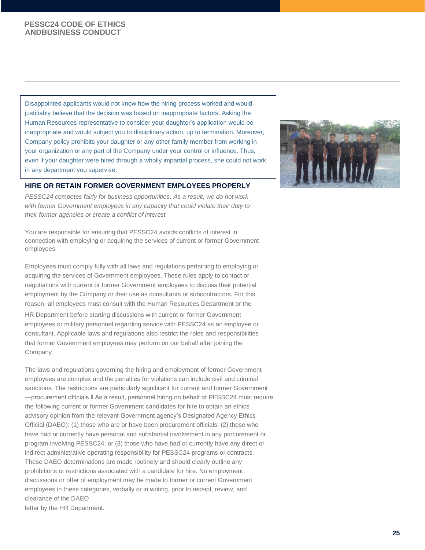Disappointed applicants would not know how the hiring process worked and would justifiably believe that the decision was based on inappropriate factors. Asking the Human Resources representative to consider your daughter's application would be inappropriate and would subject you to disciplinary action, up to termination. Moreover, Company policy prohibits your daughter or any other family member from working in your organization or any part of the Company under your control or influence. Thus, even if your daughter were hired through a wholly impartial process, she could not work in any department you supervise.

#### **HIRE OR RETAIN FORMER GOVERNMENT EMPLOYEES PROPERLY**

*PESSC24 competes fairly for business opportunities. As a result, we do not work*  with former Government employees in any capacity that could violate their duty to *their former agencies or create a conflict of interest.*

You are responsible for ensuring that PESSC24 avoids conflicts of interest in connection with employing or acquiring the services of current or former Government employees.

Employees must comply fully with all laws and regulations pertaining to employing or acquiring the services of Government employees. These rules apply to contact or negotiations with current or former Government employees to discuss their potential employment by the Company or their use as consultants or subcontractors. For this reason, all employees must consult with the Human Resources Department or the HR Department before starting discussions with current or former Government employees or military personnel regarding service with PESSC24 as an employee or consultant. Applicable laws and regulations also restrict the roles and responsibilities that former Government employees may perform on our behalf after joining the Company.

The laws and regulations governing the hiring and employment of former Government employees are complex and the penalties for violations can include civil and criminal sanctions. The restrictions are particularly significant for current and former Government ―procurement officials.‖ As a result, personnel hiring on behalf of PESSC24 must require the following current or former Government candidates for hire to obtain an ethics advisory opinion from the relevant Government agency's Designated Agency Ethics Official (DAEO): (1) those who are or have been procurement officials; (2) those who have had or currently have personal and substantial involvement in any procurement or program involving PESSC24; or (3) those who have had or currently have any direct or indirect administrative operating responsibility for PESSC24 programs or contracts. These DAEO determinations are made routinely and should clearly outline any prohibitions or restrictions associated with a candidate for hire. No employment discussions or offer of employment may be made to former or current Government employees in these categories, verbally or in writing, prior to receipt, review, and clearance of the DAEO letter by the HR Department.

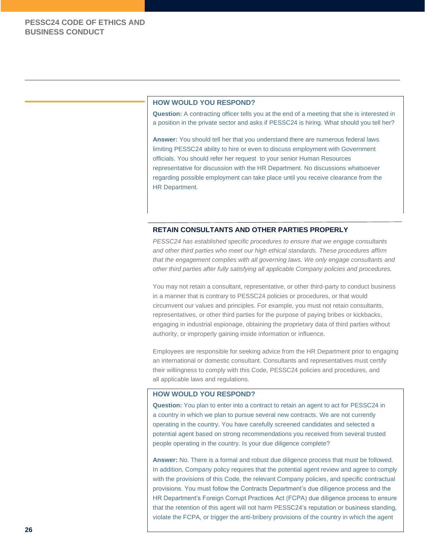#### **HOW WOULD YOU RESPOND?**

**Question:** A contracting officer tells you at the end of a meeting that she is interested in a position in the private sector and asks if PESSC24 is hiring. What should you tell her?

**Answer:** You should tell her that you understand there are numerous federal laws limiting PESSC24 ability to hire or even to discuss employment with Government officials. You should refer her request to your senior Human Resources representative for discussion with the HR Department. No discussions whatsoever regarding possible employment can take place until you receive clearance from the HR Department.

#### **RETAIN CONSULTANTS AND OTHER PARTIES PROPERLY**

*PESSC24 has established specific procedures to ensure that we engage consultants and other third parties who meet our high ethical standards. These procedures affirm that the engagement complies with all governing laws. We only engage consultants and other third parties after fully satisfying all applicable Company policies and procedures.*

You may not retain a consultant, representative, or other third-party to conduct business in a manner that is contrary to PESSC24 policies or procedures, or that would circumvent our values and principles. For example, you must not retain consultants, representatives, or other third parties for the purpose of paying bribes or kickbacks, engaging in industrial espionage, obtaining the proprietary data of third parties without authority, or improperly gaining inside information or influence.

Employees are responsible for seeking advice from the HR Department prior to engaging an international or domestic consultant. Consultants and representatives must certify their willingness to comply with this Code, PESSC24 policies and procedures, and all applicable laws and regulations.

#### **HOW WOULD YOU RESPOND?**

**Question:** You plan to enter into a contract to retain an agent to act for PESSC24 in a country in which we plan to pursue several new contracts. We are not currently operating in the country. You have carefully screened candidates and selected a potential agent based on strong recommendations you received from several trusted people operating in the country. Is your due diligence complete?

**Answer:** No. There is a formal and robust due diligence process that must be followed. In addition, Company policy requires that the potential agent review and agree to comply with the provisions of this Code, the relevant Company policies, and specific contractual provisions. You must follow the Contracts Department's due diligence process and the HR Department's Foreign Corrupt Practices Act (FCPA) due diligence process to ensure that the retention of this agent will not harm PESSC24's reputation or business standing, violate the FCPA, or trigger the anti-bribery provisions of the country in which the agent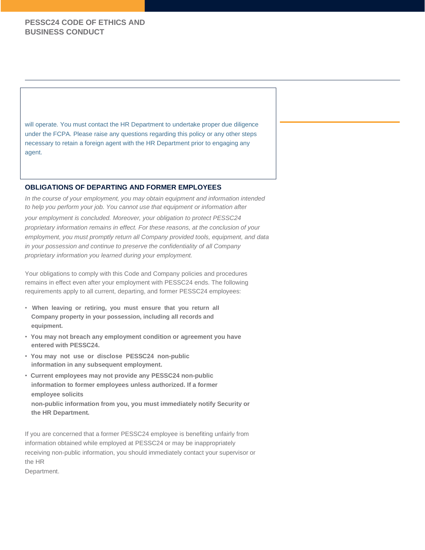will operate. You must contact the HR Department to undertake proper due diligence under the FCPA. Please raise any questions regarding this policy or any other steps necessary to retain a foreign agent with the HR Department prior to engaging any agent.

#### **OBLIGATIONS OF DEPARTING AND FORMER EMPLOYEES**

*In the course of your employment, you may obtain equipment and information intended to help you perform your job. You cannot use that equipment or information after*

*your employment is concluded. Moreover, your obligation to protect PESSC24 proprietary information remains in effect. For these reasons, at the conclusion of your employment, you must promptly return all Company provided tools, equipment, and data in your possession and continue to preserve the confidentiality of all Company proprietary information you learned during your employment.*

Your obligations to comply with this Code and Company policies and procedures remains in effect even after your employment with PESSC24 ends. The following requirements apply to all current, departing, and former PESSC24 employees:

- **When leaving or retiring, you must ensure that you return all Company property in your possession, including all records and equipment.**
- **You may not breach any employment condition or agreement you have entered with PESSC24.**
- **You may not use or disclose PESSC24 non-public information in any subsequent employment.**
- **Current employees may not provide any PESSC24 non-public information to former employees unless authorized. If a former employee solicits non-public information from you, you must immediately notify Security or the HR Department.**

If you are concerned that a former PESSC24 employee is benefiting unfairly from information obtained while employed at PESSC24 or may be inappropriately receiving non-public information, you should immediately contact your supervisor or the HR

Department.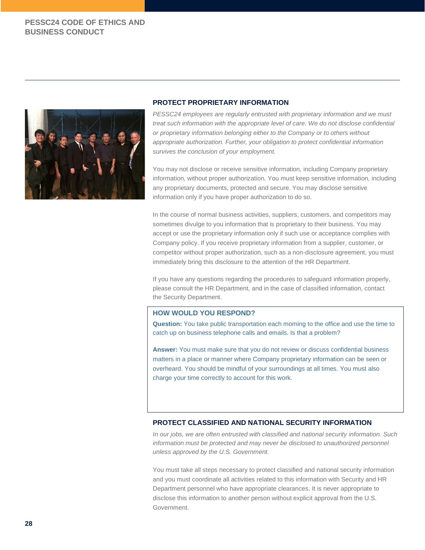

#### **PROTECT PROPRIETARY INFORMATION**

*PESSC24 employees are regularly entrusted with proprietary information and we must treat such information with the appropriate level of care. We do not disclose confidential or proprietary information belonging either to the Company or to others without appropriate authorization. Further, your obligation to protect confidential information survives the conclusion of your employment.*

You may not disclose or receive sensitive information, including Company proprietary information, without proper authorization. You must keep sensitive information, including any proprietary documents, protected and secure. You may disclose sensitive information only if you have proper authorization to do so.

In the course of normal business activities, suppliers, customers, and competitors may sometimes divulge to you information that is proprietary to their business. You may accept or use the proprietary information only if such use or acceptance complies with Company policy. If you receive proprietary information from a supplier, customer, or competitor without proper authorization, such as a non-disclosure agreement, you must immediately bring this disclosure to the attention of the HR Department.

If you have any questions regarding the procedures to safeguard information properly, please consult the HR Department, and in the case of classified information, contact the Security Department.

#### **HOW WOULD YOU RESPOND?**

**Question:** You take public transportation each morning to the office and use the time to catch up on business telephone calls and emails. Is that a problem?

**Answer:** You must make sure that you do not review or discuss confidential business matters in a place or manner where Company proprietary information can be seen or overheard. You should be mindful of your surroundings at all times. You must also charge your time correctly to account for this work.

#### **PROTECT CLASSIFIED AND NATIONAL SECURITY INFORMATION**

*In our jobs, we are often entrusted with classified and national security information. Such information must be protected and may never be disclosed to unauthorized personnel unless approved by the U.S. Government.*

You must take all steps necessary to protect classified and national security information and you must coordinate all activities related to this information with Security and HR Department personnel who have appropriate clearances. It is never appropriate to disclose this information to another person without explicit approval from the U.S. Government.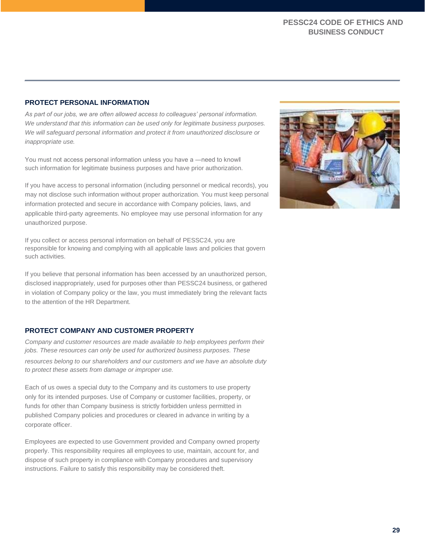### **PROTECT PERSONAL INFORMATION**

*As part of our jobs, we are often allowed access to colleagues' personal information. We understand that this information can be used only for legitimate business purposes. We will safeguard personal information and protect it from unauthorized disclosure or inappropriate use.*

You must not access personal information unless you have a —need to knowll such information for legitimate business purposes and have prior authorization.

If you have access to personal information (including personnel or medical records), you may not disclose such information without proper authorization. You must keep personal information protected and secure in accordance with Company policies, laws, and applicable third-party agreements. No employee may use personal information for any unauthorized purpose.

If you collect or access personal information on behalf of PESSC24, you are responsible for knowing and complying with all applicable laws and policies that govern such activities.

If you believe that personal information has been accessed by an unauthorized person, disclosed inappropriately, used for purposes other than PESSC24 business, or gathered in violation of Company policy or the law, you must immediately bring the relevant facts to the attention of the HR Department.

#### **PROTECT COMPANY AND CUSTOMER PROPERTY**

*Company and customer resources are made available to help employees perform their jobs. These resources can only be used for authorized business purposes. These resources belong to our shareholders and our customers and we have an absolute duty to protect these assets from damage or improper use.*

Each of us owes a special duty to the Company and its customers to use property only for its intended purposes. Use of Company or customer facilities, property, or funds for other than Company business is strictly forbidden unless permitted in published Company policies and procedures or cleared in advance in writing by a corporate officer.

Employees are expected to use Government provided and Company owned property properly. This responsibility requires all employees to use, maintain, account for, and dispose of such property in compliance with Company procedures and supervisory instructions. Failure to satisfy this responsibility may be considered theft.

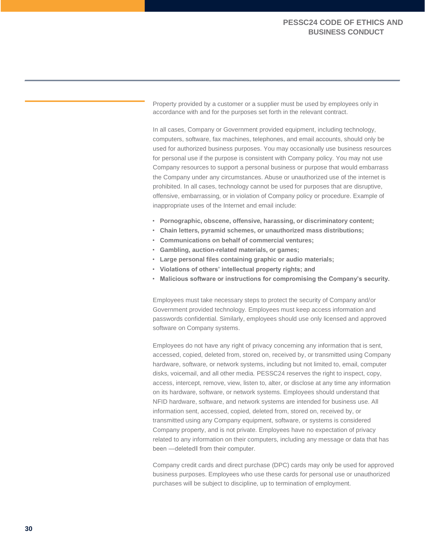Property provided by a customer or a supplier must be used by employees only in accordance with and for the purposes set forth in the relevant contract.

In all cases, Company or Government provided equipment, including technology, computers, software, fax machines, telephones, and email accounts, should only be used for authorized business purposes. You may occasionally use business resources for personal use if the purpose is consistent with Company policy. You may not use Company resources to support a personal business or purpose that would embarrass the Company under any circumstances. Abuse or unauthorized use of the internet is prohibited. In all cases, technology cannot be used for purposes that are disruptive, offensive, embarrassing, or in violation of Company policy or procedure. Example of inappropriate uses of the Internet and email include:

- **Pornographic, obscene, offensive, harassing, or discriminatory content;**
- **Chain letters, pyramid schemes, or unauthorized mass distributions;**
- **Communications on behalf of commercial ventures;**
- **Gambling, auction-related materials, or games;**
- **Large personal files containing graphic or audio materials;**
- **Violations of others' intellectual property rights; and**
- **Malicious software or instructions for compromising the Company's security.**

Employees must take necessary steps to protect the security of Company and/or Government provided technology. Employees must keep access information and passwords confidential. Similarly, employees should use only licensed and approved software on Company systems.

Employees do not have any right of privacy concerning any information that is sent, accessed, copied, deleted from, stored on, received by, or transmitted using Company hardware, software, or network systems, including but not limited to, email, computer disks, voicemail, and all other media. PESSC24 reserves the right to inspect, copy, access, intercept, remove, view, listen to, alter, or disclose at any time any information on its hardware, software, or network systems. Employees should understand that NFID hardware, software, and network systems are intended for business use. All information sent, accessed, copied, deleted from, stored on, received by, or transmitted using any Company equipment, software, or systems is considered Company property, and is not private. Employees have no expectation of privacy related to any information on their computers, including any message or data that has been ―deleted‖ from their computer.

Company credit cards and direct purchase (DPC) cards may only be used for approved business purposes. Employees who use these cards for personal use or unauthorized purchases will be subject to discipline, up to termination of employment.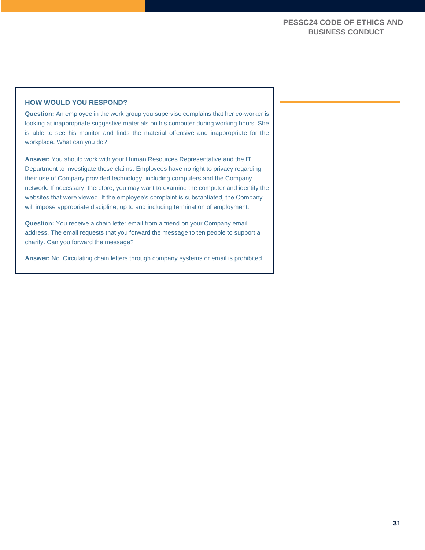#### **HOW WOULD YOU RESPOND?**

**Question:** An employee in the work group you supervise complains that her co-worker is looking at inappropriate suggestive materials on his computer during working hours. She is able to see his monitor and finds the material offensive and inappropriate for the workplace. What can you do?

**Answer:** You should work with your Human Resources Representative and the IT Department to investigate these claims. Employees have no right to privacy regarding their use of Company provided technology, including computers and the Company network. If necessary, therefore, you may want to examine the computer and identify the websites that were viewed. If the employee's complaint is substantiated, the Company will impose appropriate discipline, up to and including termination of employment.

**Question:** You receive a chain letter email from a friend on your Company email address. The email requests that you forward the message to ten people to support a charity. Can you forward the message?

**Answer:** No. Circulating chain letters through company systems or email is prohibited.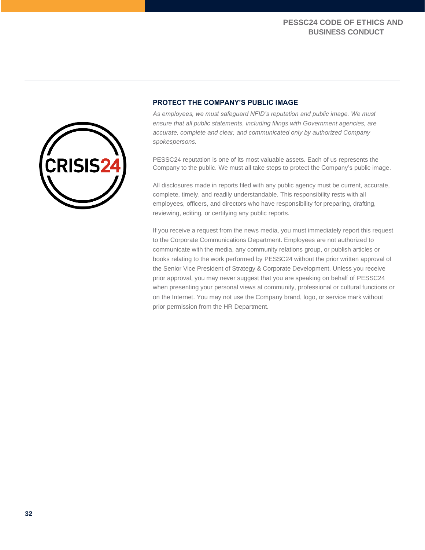

## **PROTECT THE COMPANY'S PUBLIC IMAGE**

*As employees, we must safeguard NFID's reputation and public image. We must ensure that all public statements, including filings with Government agencies, are accurate, complete and clear, and communicated only by authorized Company spokespersons.*

PESSC24 reputation is one of its most valuable assets. Each of us represents the Company to the public. We must all take steps to protect the Company's public image.

All disclosures made in reports filed with any public agency must be current, accurate, complete, timely, and readily understandable. This responsibility rests with all employees, officers, and directors who have responsibility for preparing, drafting, reviewing, editing, or certifying any public reports.

If you receive a request from the news media, you must immediately report this request to the Corporate Communications Department. Employees are not authorized to communicate with the media, any community relations group, or publish articles or books relating to the work performed by PESSC24 without the prior written approval of the Senior Vice President of Strategy & Corporate Development. Unless you receive prior approval, you may never suggest that you are speaking on behalf of PESSC24 when presenting your personal views at community, professional or cultural functions or on the Internet. You may not use the Company brand, logo, or service mark without prior permission from the HR Department.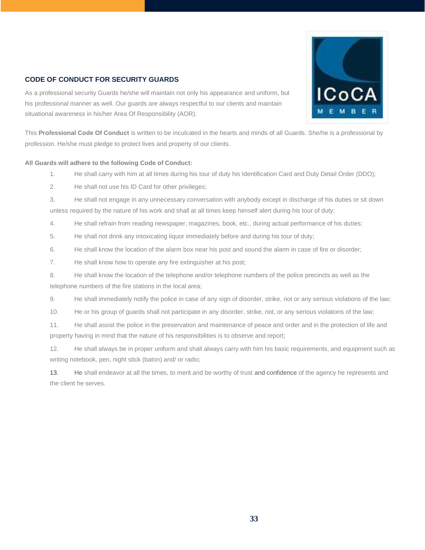



As a professional security Guards he/she will maintain not only his appearance and uniform, but his professional manner as well. Our guards are always respectful to our clients and maintain situational awareness in his/her Area Of Responsibility (AOR).

This **Professional Code Of Conduct** is written to be inculcated in the hearts and minds of all Guards. She/he is a professional by profession. He/she must pledge to protect lives and property of our clients.

#### **All Guards will adhere to the following Code of Conduct:**

- 1. He shall carry with him at all times during his tour of duty his Identification Card and Duty Detail Order (DDO);
- 2. He shall not use his ID Card for other privileges;
- 3. He shall not engage in any unnecessary conversation with anybody except in discharge of his duties or sit down unless required by the nature of his work and shall at all times keep himself alert during his tour of duty;
- 4. He shall refrain from reading newspaper, magazines, book, etc., during actual performance of his duties;
- 5. He shall not drink any intoxicating liquor immediately before and during his tour of duty;
- 6. He shall know the location of the alarm box near his post and sound the alarm in case of fire or disorder;
- 7. He shall know how to operate any fire extinguisher at his post;
- 8. He shall know the location of the telephone and/or telephone numbers of the police precincts as well as the telephone numbers of the fire stations in the local area;
- 9. He shall immediately notify the police in case of any sign of disorder, strike, riot or any serious violations of the law;
- 10. He or his group of guards shall not participate in any disorder, strike, riot, or any serious violations of the law;
- 11. He shall assist the police in the preservation and maintenance of peace and order and in the protection of life and property having in mind that the nature of his responsibilities is to observe and report;
- 12. He shall always be in proper uniform and shall always carry with him his basic requirements, and equipment such as writing notebook, pen, night stick (baton) and/ or radio;
- 13. He shall endeavor at all the times, to merit and be worthy of trust and confidence of the agency he represents and the client he serves.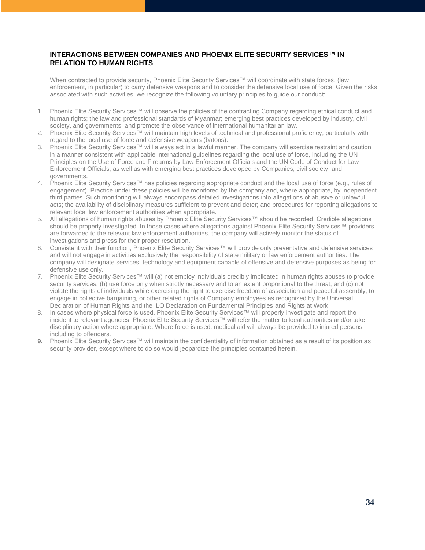#### **INTERACTIONS BETWEEN COMPANIES AND PHOENIX ELITE SECURITY SERVICES™ IN RELATION TO HUMAN RIGHTS**

When contracted to provide security, Phoenix Elite Security Services™ will coordinate with state forces, (law enforcement, in particular) to carry defensive weapons and to consider the defensive local use of force. Given the risks associated with such activities, we recognize the following voluntary principles to guide our conduct:

- 1. Phoenix Elite Security Services™ will observe the policies of the contracting Company regarding ethical conduct and human rights; the law and professional standards of Myanmar; emerging best practices developed by industry, civil society, and governments; and promote the observance of international humanitarian law.
- 2. Phoenix Elite Security Services™ will maintain high levels of technical and professional proficiency, particularly with regard to the local use of force and defensive weapons (batons).
- 3. Phoenix Elite Security Services™ will always act in a lawful manner. The company will exercise restraint and caution in a manner consistent with applicable international guidelines regarding the local use of force, including the UN Principles on the Use of Force and Firearms by Law Enforcement Officials and the UN Code of Conduct for Law Enforcement Officials, as well as with emerging best practices developed by Companies, civil society, and governments.
- 4. Phoenix Elite Security Services™ has policies regarding appropriate conduct and the local use of force (e.g., rules of engagement). Practice under these policies will be monitored by the company and, where appropriate, by independent third parties. Such monitoring will always encompass detailed investigations into allegations of abusive or unlawful acts; the availability of disciplinary measures sufficient to prevent and deter; and procedures for reporting allegations to relevant local law enforcement authorities when appropriate.
- 5. All allegations of human rights abuses by Phoenix Elite Security Services™ should be recorded. Credible allegations should be properly investigated. In those cases where allegations against Phoenix Elite Security Services™ providers are forwarded to the relevant law enforcement authorities, the company will actively monitor the status of investigations and press for their proper resolution.
- 6. Consistent with their function, Phoenix Elite Security Services™ will provide only preventative and defensive services and will not engage in activities exclusively the responsibility of state military or law enforcement authorities. The company will designate services, technology and equipment capable of offensive and defensive purposes as being for defensive use only.
- 7. Phoenix Elite Security Services™ will (a) not employ individuals credibly implicated in human rights abuses to provide security services; (b) use force only when strictly necessary and to an extent proportional to the threat; and (c) not violate the rights of individuals while exercising the right to exercise freedom of association and peaceful assembly, to engage in collective bargaining, or other related rights of Company employees as recognized by the Universal Declaration of Human Rights and the ILO Declaration on Fundamental Principles and Rights at Work.
- 8. In cases where physical force is used, Phoenix Elite Security Services™ will properly investigate and report the incident to relevant agencies. Phoenix Elite Security Services™ will refer the matter to local authorities and/or take disciplinary action where appropriate. Where force is used, medical aid will always be provided to injured persons, including to offenders.
- 9. Phoenix Elite Security Services™ will maintain the confidentiality of information obtained as a result of its position as security provider, except where to do so would jeopardize the principles contained herein.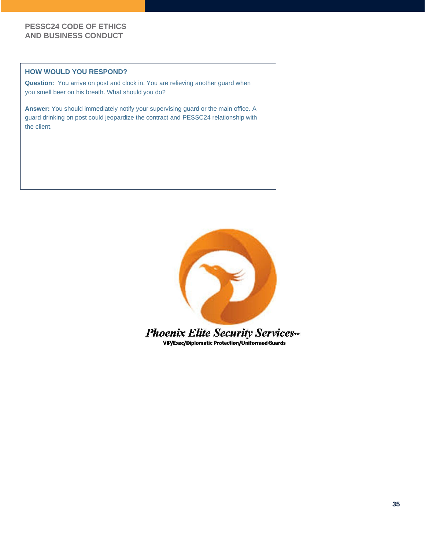#### **HOW WOULD YOU RESPOND?**

**Question:** You arrive on post and clock in. You are relieving another guard when you smell beer on his breath. What should you do?

**Answer:** You should immediately notify your supervising guard or the main office. A guard drinking on post could jeopardize the contract and PESSC24 relationship with the client.



VIP/Exec/Diplomatic Protection/Uniformed Guards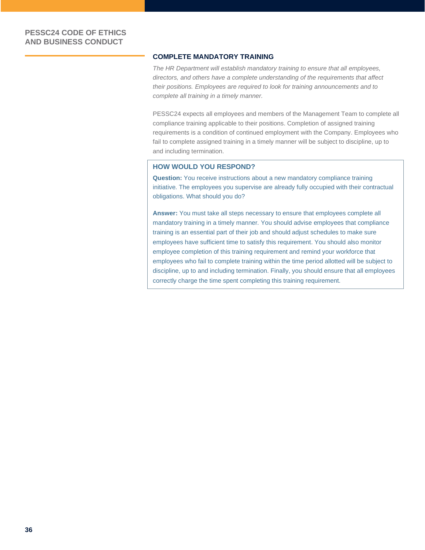#### **COMPLETE MANDATORY TRAINING**

*The HR Department will establish mandatory training to ensure that all employees, directors, and others have a complete understanding of the requirements that affect their positions. Employees are required to look for training announcements and to complete all training in a timely manner.*

PESSC24 expects all employees and members of the Management Team to complete all compliance training applicable to their positions. Completion of assigned training requirements is a condition of continued employment with the Company. Employees who fail to complete assigned training in a timely manner will be subject to discipline, up to and including termination.

#### **HOW WOULD YOU RESPOND?**

**Question:** You receive instructions about a new mandatory compliance training initiative. The employees you supervise are already fully occupied with their contractual obligations. What should you do?

**Answer:** You must take all steps necessary to ensure that employees complete all mandatory training in a timely manner. You should advise employees that compliance training is an essential part of their job and should adjust schedules to make sure employees have sufficient time to satisfy this requirement. You should also monitor employee completion of this training requirement and remind your workforce that employees who fail to complete training within the time period allotted will be subject to discipline, up to and including termination. Finally, you should ensure that all employees correctly charge the time spent completing this training requirement.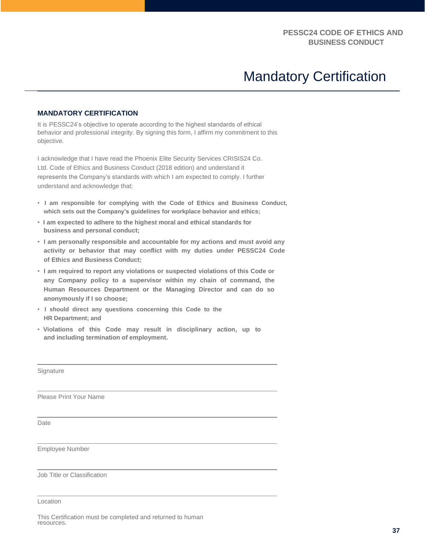# Mandatory Certification

### **MANDATORY CERTIFICATION**

It is PESSC24's objective to operate according to the highest standards of ethical behavior and professional integrity. By signing this form, I affirm my commitment to this objective.

I acknowledge that I have read the Phoenix Elite Security Services CRISIS24 Co. Ltd. Code of Ethics and Business Conduct (2018 edition) and understand it represents the Company's standards with which I am expected to comply. I further understand and acknowledge that:

- **I am responsible for complying with the Code of Ethics and Business Conduct, which sets out the Company's guidelines for workplace behavior and ethics;**
- **I am expected to adhere to the highest moral and ethical standards for business and personal conduct;**
- **I am personally responsible and accountable for my actions and must avoid any activity or behavior that may conflict with my duties under PESSC24 Code of Ethics and Business Conduct;**
- **I am required to report any violations or suspected violations of this Code or any Company policy to a supervisor within my chain of command, the Human Resources Department or the Managing Director and can do so anonymously if I so choose;**
- **I should direct any questions concerning this Code to the HR Department; and**
- **Violations of this Code may result in disciplinary action, up to and including termination of employment.**

**Signature** 

Please Print Your Name

**Date** 

Employee Number

Job Title or Classification

Location